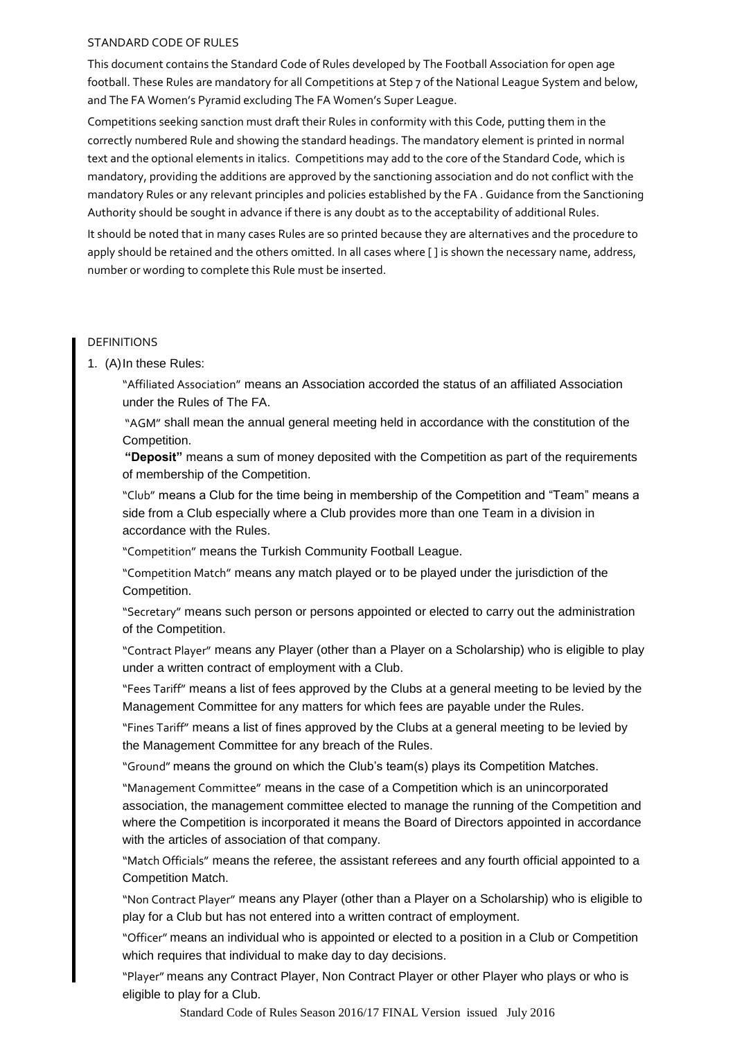## STANDARD CODE OF RULES

This document contains the Standard Code of Rules developed by The Football Association for open age football. These Rules are mandatory for all Competitions at Step 7 of the National League System and below, and The FA Women's Pyramid excluding The FA Women's Super League.

Competitions seeking sanction must draft their Rules in conformity with this Code, putting them in the correctly numbered Rule and showing the standard headings. The mandatory element is printed in normal text and the optional elements in italics. Competitions may add to the core of the Standard Code, which is mandatory, providing the additions are approved by the sanctioning association and do not conflict with the mandatory Rules or any relevant principles and policies established by the FA . Guidance from the Sanctioning Authority should be sought in advance if there is any doubt as to the acceptability of additional Rules.

It should be noted that in many cases Rules are so printed because they are alternatives and the procedure to apply should be retained and the others omitted. In all cases where [ ] is shown the necessary name, address, number or wording to complete this Rule must be inserted.

## DEFINITIONS

1. (A)In these Rules:

"Affiliated Association" means an Association accorded the status of an affiliated Association under the Rules of The FA.

"AGM" shall mean the annual general meeting held in accordance with the constitution of the Competition.

**"Deposit"** means a sum of money deposited with the Competition as part of the requirements of membership of the Competition.

"Club" means a Club for the time being in membership of the Competition and "Team" means a side from a Club especially where a Club provides more than one Team in a division in accordance with the Rules.

"Competition" means the Turkish Community Football League.

"Competition Match" means any match played or to be played under the jurisdiction of the Competition.

"Secretary" means such person or persons appointed or elected to carry out the administration of the Competition.

"Contract Player" means any Player (other than a Player on a Scholarship) who is eligible to play under a written contract of employment with a Club.

"Fees Tariff" means a list of fees approved by the Clubs at a general meeting to be levied by the Management Committee for any matters for which fees are payable under the Rules.

"Fines Tariff" means a list of fines approved by the Clubs at a general meeting to be levied by the Management Committee for any breach of the Rules.

"Ground" means the ground on which the Club"s team(s) plays its Competition Matches.

"Management Committee" means in the case of a Competition which is an unincorporated association, the management committee elected to manage the running of the Competition and where the Competition is incorporated it means the Board of Directors appointed in accordance with the articles of association of that company.

"Match Officials" means the referee, the assistant referees and any fourth official appointed to a Competition Match.

"Non Contract Player" means any Player (other than a Player on a Scholarship) who is eligible to play for a Club but has not entered into a written contract of employment.

"Officer" means an individual who is appointed or elected to a position in a Club or Competition which requires that individual to make day to day decisions.

"Player" means any Contract Player, Non Contract Player or other Player who plays or who is eligible to play for a Club.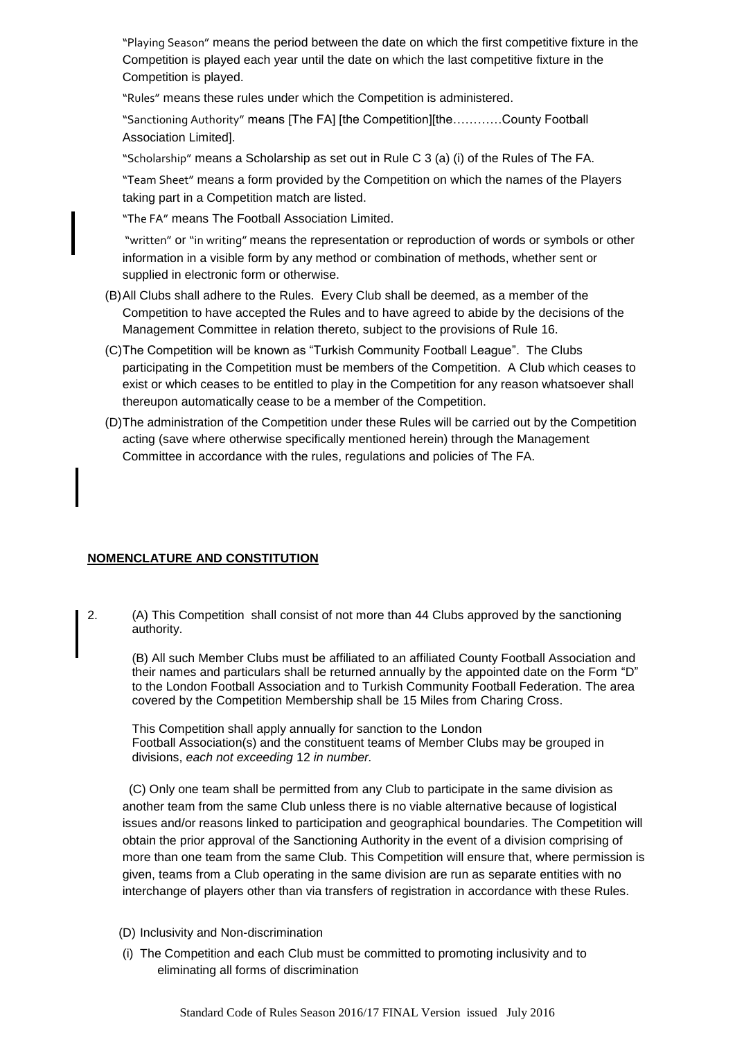"Playing Season" means the period between the date on which the first competitive fixture in the Competition is played each year until the date on which the last competitive fixture in the Competition is played.

"Rules" means these rules under which the Competition is administered.

"Sanctioning Authority" means [The FA] [the Competition][the…………County Football Association Limited].

"Scholarship" means a Scholarship as set out in Rule C 3 (a) (i) of the Rules of The FA.

"Team Sheet" means a form provided by the Competition on which the names of the Players taking part in a Competition match are listed.

"The FA" means The Football Association Limited.

"written" or "in writing" means the representation or reproduction of words or symbols or other information in a visible form by any method or combination of methods, whether sent or supplied in electronic form or otherwise.

- (B)All Clubs shall adhere to the Rules. Every Club shall be deemed, as a member of the Competition to have accepted the Rules and to have agreed to abide by the decisions of the Management Committee in relation thereto, subject to the provisions of Rule 16.
- (C)The Competition will be known as "Turkish Community Football League". The Clubs participating in the Competition must be members of the Competition. A Club which ceases to exist or which ceases to be entitled to play in the Competition for any reason whatsoever shall thereupon automatically cease to be a member of the Competition.
- (D)The administration of the Competition under these Rules will be carried out by the Competition acting (save where otherwise specifically mentioned herein) through the Management Committee in accordance with the rules, regulations and policies of The FA.

# **NOMENCLATURE AND CONSTITUTION**

2. (A) This Competition shall consist of not more than 44 Clubs approved by the sanctioning authority.

(B) All such Member Clubs must be affiliated to an affiliated County Football Association and their names and particulars shall be returned annually by the appointed date on the Form "D" to the London Football Association and to Turkish Community Football Federation. The area covered by the Competition Membership shall be 15 Miles from Charing Cross.

This Competition shall apply annually for sanction to the London Football Association(s) and the constituent teams of Member Clubs may be grouped in divisions, *each not exceeding* 12 *in number.*

 (C) Only one team shall be permitted from any Club to participate in the same division as another team from the same Club unless there is no viable alternative because of logistical issues and/or reasons linked to participation and geographical boundaries. The Competition will obtain the prior approval of the Sanctioning Authority in the event of a division comprising of more than one team from the same Club. This Competition will ensure that, where permission is given, teams from a Club operating in the same division are run as separate entities with no interchange of players other than via transfers of registration in accordance with these Rules.

- (D) Inclusivity and Non-discrimination
- (i) The Competition and each Club must be committed to promoting inclusivity and to eliminating all forms of discrimination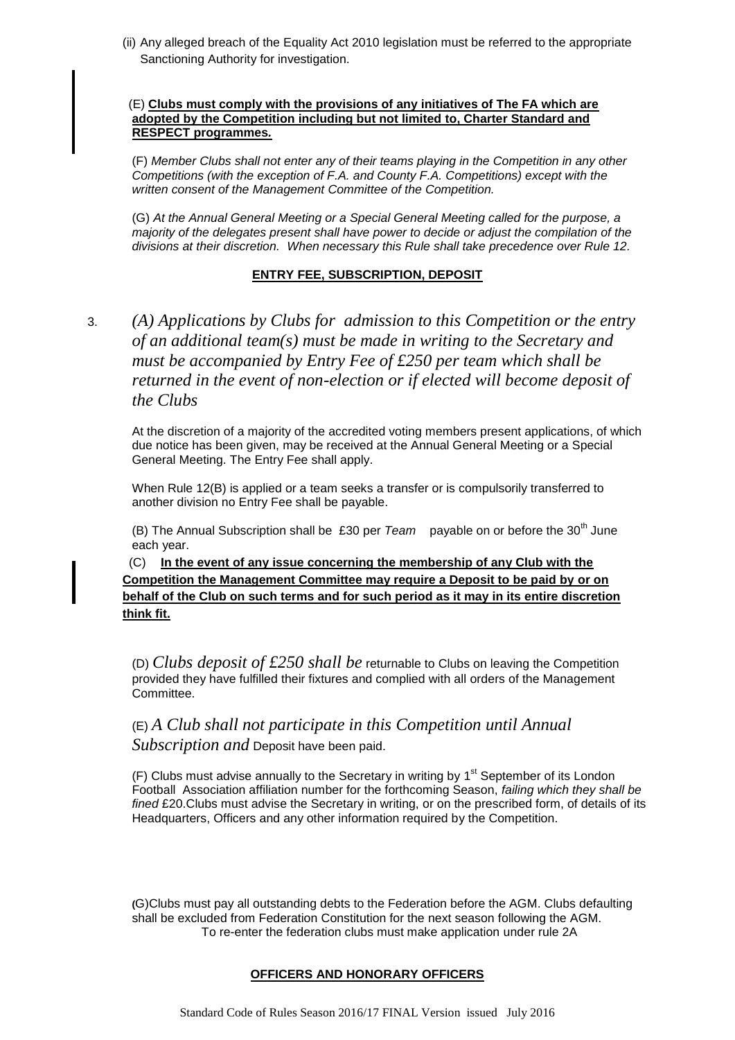(ii) Any alleged breach of the Equality Act 2010 legislation must be referred to the appropriate Sanctioning Authority for investigation.

## (E) **Clubs must comply with the provisions of any initiatives of The FA which are adopted by the Competition including but not limited to, Charter Standard and RESPECT programmes***.*

(F) *Member Clubs shall not enter any of their teams playing in the Competition in any other Competitions (with the exception of F.A. and County F.A. Competitions) except with the written consent of the Management Committee of the Competition.*

(G) *At the Annual General Meeting or a Special General Meeting called for the purpose, a majority of the delegates present shall have power to decide or adjust the compilation of the divisions at their discretion. When necessary this Rule shall take precedence over Rule 12.*

## **ENTRY FEE, SUBSCRIPTION, DEPOSIT**

3. *(A) Applications by Clubs for admission to this Competition or the entry of an additional team(s) must be made in writing to the Secretary and must be accompanied by Entry Fee of £250 per team which shall be returned in the event of non-election or if elected will become deposit of the Clubs*

At the discretion of a majority of the accredited voting members present applications, of which due notice has been given, may be received at the Annual General Meeting or a Special General Meeting. The Entry Fee shall apply.

When Rule 12(B) is applied or a team seeks a transfer or is compulsorily transferred to another division no Entry Fee shall be payable.

(B) The Annual Subscription shall be £30 per *Team* payable on or before the 30<sup>th</sup> June each year.

 (C) **In the event of any issue concerning the membership of any Club with the Competition the Management Committee may require a Deposit to be paid by or on behalf of the Club on such terms and for such period as it may in its entire discretion think fit.**

(D) *Clubs deposit of £250 shall be* returnable to Clubs on leaving the Competition provided they have fulfilled their fixtures and complied with all orders of the Management Committee.

# (E) *A Club shall not participate in this Competition until Annual Subscription and* Deposit have been paid.

 $(F)$  Clubs must advise annually to the Secretary in writing by  $1<sup>st</sup>$  September of its London Football Association affiliation number for the forthcoming Season, *failing which they shall be fined* £20.Clubs must advise the Secretary in writing, or on the prescribed form, of details of its Headquarters, Officers and any other information required by the Competition.

**(**G)Clubs must pay all outstanding debts to the Federation before the AGM. Clubs defaulting shall be excluded from Federation Constitution for the next season following the AGM. To re-enter the federation clubs must make application under rule 2A

## **OFFICERS AND HONORARY OFFICERS**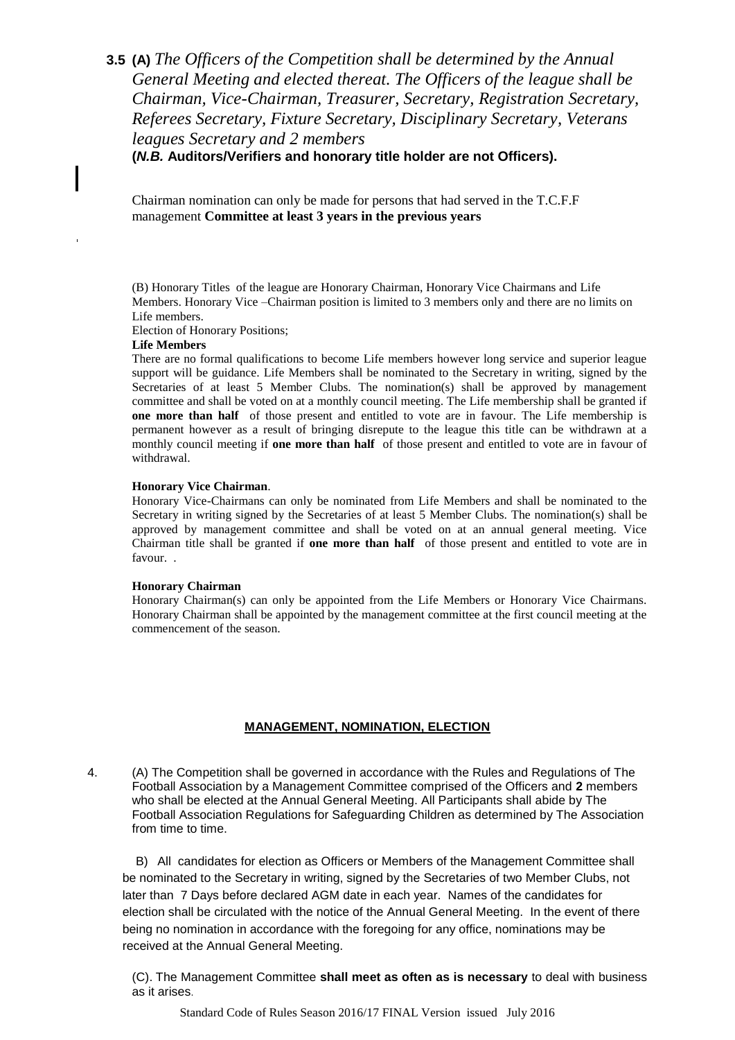# **3.5 (A)** *The Officers of the Competition shall be determined by the Annual General Meeting and elected thereat. The Officers of the league shall be Chairman, Vice-Chairman, Treasurer, Secretary, Registration Secretary, Referees Secretary, Fixture Secretary, Disciplinary Secretary, Veterans leagues Secretary and 2 members*

**(***N.B.* **Auditors/Verifiers and honorary title holder are not Officers).**

Chairman nomination can only be made for persons that had served in the T.C.F.F management **Committee at least 3 years in the previous years**

(B) Honorary Titles of the league are Honorary Chairman, Honorary Vice Chairmans and Life Members. Honorary Vice –Chairman position is limited to 3 members only and there are no limits on Life members.

Election of Honorary Positions;

### **Life Members**

There are no formal qualifications to become Life members however long service and superior league support will be guidance. Life Members shall be nominated to the Secretary in writing, signed by the Secretaries of at least 5 Member Clubs. The nomination(s) shall be approved by management committee and shall be voted on at a monthly council meeting. The Life membership shall be granted if **one more than half** of those present and entitled to vote are in favour. The Life membership is permanent however as a result of bringing disrepute to the league this title can be withdrawn at a monthly council meeting if **one more than half** of those present and entitled to vote are in favour of withdrawal.

### **Honorary Vice Chairman**.

Honorary Vice-Chairmans can only be nominated from Life Members and shall be nominated to the Secretary in writing signed by the Secretaries of at least 5 Member Clubs. The nomination(s) shall be approved by management committee and shall be voted on at an annual general meeting. Vice Chairman title shall be granted if **one more than half** of those present and entitled to vote are in favour. .

#### **Honorary Chairman**

Honorary Chairman(s) can only be appointed from the Life Members or Honorary Vice Chairmans. Honorary Chairman shall be appointed by the management committee at the first council meeting at the commencement of the season.

# **MANAGEMENT, NOMINATION, ELECTION**

4. (A) The Competition shall be governed in accordance with the Rules and Regulations of The Football Association by a Management Committee comprised of the Officers and **2** members who shall be elected at the Annual General Meeting. All Participants shall abide by The Football Association Regulations for Safeguarding Children as determined by The Association from time to time.

 B) All candidates for election as Officers or Members of the Management Committee shall be nominated to the Secretary in writing, signed by the Secretaries of two Member Clubs, not later than 7 Days before declared AGM date in each year. Names of the candidates for election shall be circulated with the notice of the Annual General Meeting. In the event of there being no nomination in accordance with the foregoing for any office, nominations may be received at the Annual General Meeting.

(C). The Management Committee **shall meet as often as is necessary** to deal with business as it arises.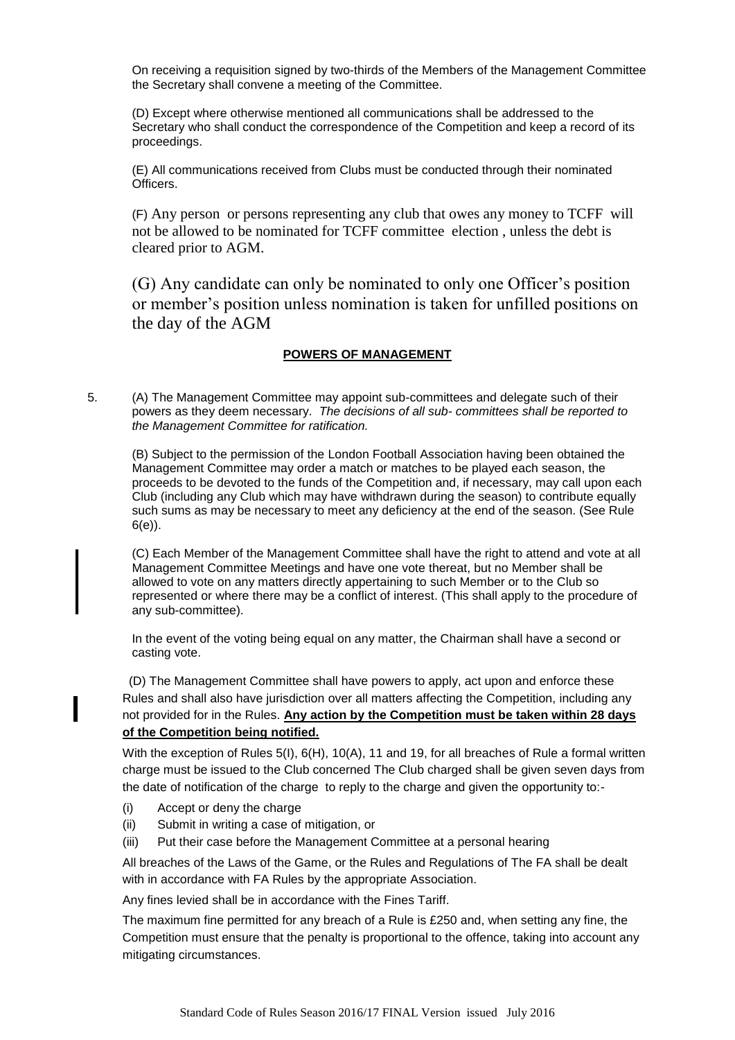On receiving a requisition signed by two-thirds of the Members of the Management Committee the Secretary shall convene a meeting of the Committee.

(D) Except where otherwise mentioned all communications shall be addressed to the Secretary who shall conduct the correspondence of the Competition and keep a record of its proceedings.

(E) All communications received from Clubs must be conducted through their nominated Officers.

 (F) Any person or persons representing any club that owes any money to TCFF will not be allowed to be nominated for TCFF committee election , unless the debt is cleared prior to AGM.

(G) Any candidate can only be nominated to only one Officer's position or member's position unless nomination is taken for unfilled positions on the day of the AGM

# **POWERS OF MANAGEMENT**

5. (A) The Management Committee may appoint sub-committees and delegate such of their powers as they deem necessary. *The decisions of all sub- committees shall be reported to the Management Committee for ratification.* 

(B) Subject to the permission of the London Football Association having been obtained the Management Committee may order a match or matches to be played each season, the proceeds to be devoted to the funds of the Competition and, if necessary, may call upon each Club (including any Club which may have withdrawn during the season) to contribute equally such sums as may be necessary to meet any deficiency at the end of the season. (See Rule 6(e)).

(C) Each Member of the Management Committee shall have the right to attend and vote at all Management Committee Meetings and have one vote thereat, but no Member shall be allowed to vote on any matters directly appertaining to such Member or to the Club so represented or where there may be a conflict of interest. (This shall apply to the procedure of any sub-committee).

In the event of the voting being equal on any matter, the Chairman shall have a second or casting vote.

 (D) The Management Committee shall have powers to apply, act upon and enforce these Rules and shall also have jurisdiction over all matters affecting the Competition, including any not provided for in the Rules. **Any action by the Competition must be taken within 28 days of the Competition being notified.**

With the exception of Rules 5(I), 6(H), 10(A), 11 and 19, for all breaches of Rule a formal written charge must be issued to the Club concerned The Club charged shall be given seven days from the date of notification of the charge to reply to the charge and given the opportunity to:-

- (i) Accept or deny the charge
- (ii) Submit in writing a case of mitigation, or
- (iii) Put their case before the Management Committee at a personal hearing

All breaches of the Laws of the Game, or the Rules and Regulations of The FA shall be dealt with in accordance with FA Rules by the appropriate Association.

Any fines levied shall be in accordance with the Fines Tariff.

The maximum fine permitted for any breach of a Rule is £250 and, when setting any fine, the Competition must ensure that the penalty is proportional to the offence, taking into account any mitigating circumstances.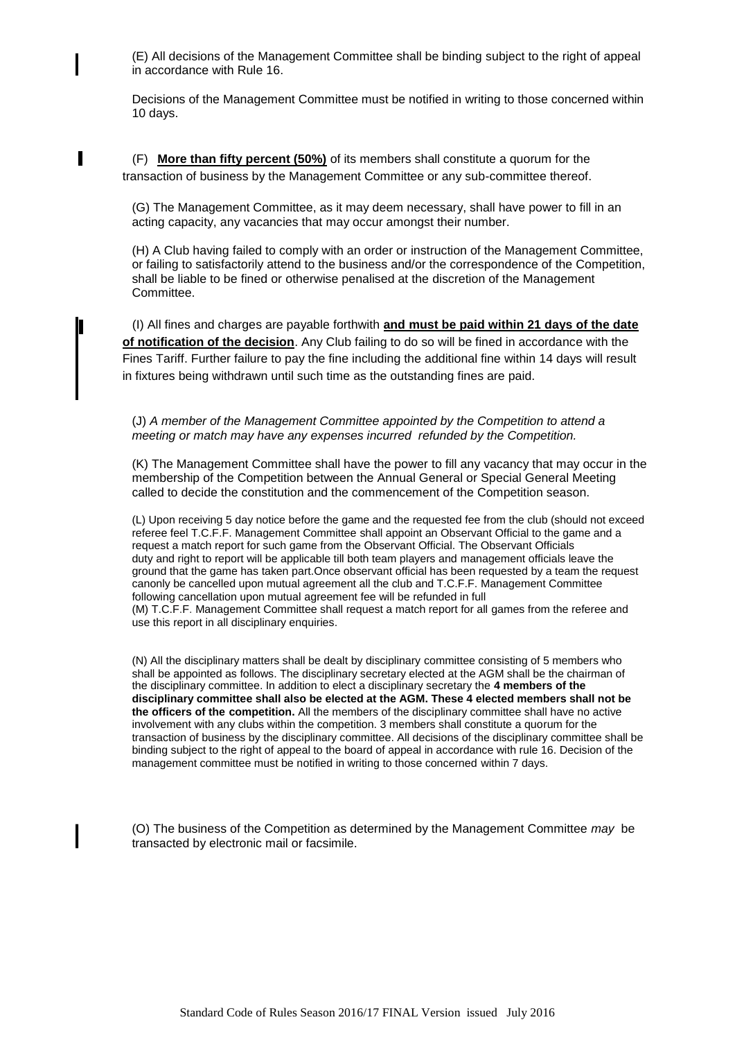(E) All decisions of the Management Committee shall be binding subject to the right of appeal in accordance with Rule 16.

Decisions of the Management Committee must be notified in writing to those concerned within 10 days.

 (F) **More than fifty percent (50%)** of its members shall constitute a quorum for the transaction of business by the Management Committee or any sub-committee thereof.

(G) The Management Committee, as it may deem necessary, shall have power to fill in an acting capacity, any vacancies that may occur amongst their number.

(H) A Club having failed to comply with an order or instruction of the Management Committee, or failing to satisfactorily attend to the business and/or the correspondence of the Competition, shall be liable to be fined or otherwise penalised at the discretion of the Management Committee.

 (I) All fines and charges are payable forthwith **and must be paid within 21 days of the date of notification of the decision**. Any Club failing to do so will be fined in accordance with the Fines Tariff. Further failure to pay the fine including the additional fine within 14 days will result in fixtures being withdrawn until such time as the outstanding fines are paid.

(J) *A member of the Management Committee appointed by the Competition to attend a meeting or match may have any expenses incurred refunded by the Competition.*

(K) The Management Committee shall have the power to fill any vacancy that may occur in the membership of the Competition between the Annual General or Special General Meeting called to decide the constitution and the commencement of the Competition season.

(L) Upon receiving 5 day notice before the game and the requested fee from the club (should not exceed referee feel T.C.F.F. Management Committee shall appoint an Observant Official to the game and a request a match report for such game from the Observant Official. The Observant Officials duty and right to report will be applicable till both team players and management officials leave the ground that the game has taken part.Once observant official has been requested by a team the request canonly be cancelled upon mutual agreement all the club and T.C.F.F. Management Committee following cancellation upon mutual agreement fee will be refunded in full (M) T.C.F.F. Management Committee shall request a match report for all games from the referee and use this report in all disciplinary enquiries.

(N) All the disciplinary matters shall be dealt by disciplinary committee consisting of 5 members who shall be appointed as follows. The disciplinary secretary elected at the AGM shall be the chairman of the disciplinary committee. In addition to elect a disciplinary secretary the **4 members of the disciplinary committee shall also be elected at the AGM. These 4 elected members shall not be the officers of the competition.** All the members of the disciplinary committee shall have no active involvement with any clubs within the competition. 3 members shall constitute a quorum for the transaction of business by the disciplinary committee. All decisions of the disciplinary committee shall be binding subject to the right of appeal to the board of appeal in accordance with rule 16. Decision of the management committee must be notified in writing to those concerned within 7 days.

 (O) The business of the Competition as determined by the Management Committee *may* be transacted by electronic mail or facsimile.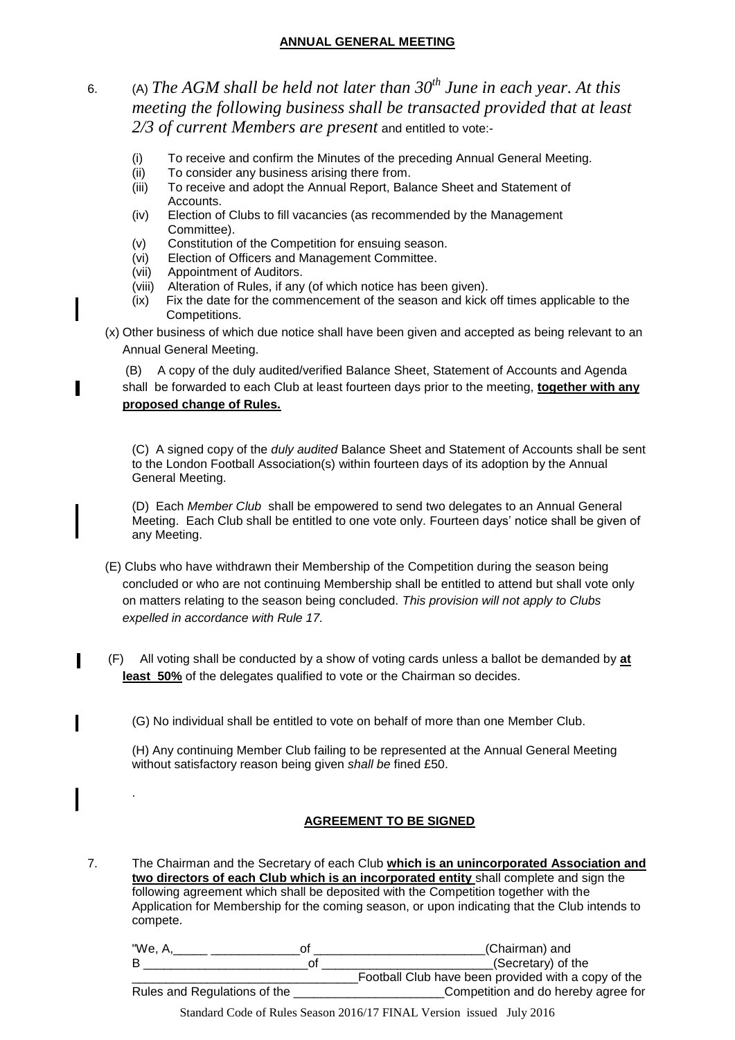# **ANNUAL GENERAL MEETING**

# 6. (A) *The AGM shall be held not later than 30th June in each year. At this meeting the following business shall be transacted provided that at least 2/3 of current Members are present* and entitled to vote:-

- (i) To receive and confirm the Minutes of the preceding Annual General Meeting.
- (ii) To consider any business arising there from.
- (iii) To receive and adopt the Annual Report, Balance Sheet and Statement of Accounts.
- (iv) Election of Clubs to fill vacancies (as recommended by the Management Committee).
- (v) Constitution of the Competition for ensuing season.
- (vi) Election of Officers and Management Committee.
- (vii) Appointment of Auditors.

.

- (viii) Alteration of Rules, if any (of which notice has been given).
- (ix) Fix the date for the commencement of the season and kick off times applicable to the Competitions.
- (x) Other business of which due notice shall have been given and accepted as being relevant to an Annual General Meeting.

 (B) A copy of the duly audited/verified Balance Sheet, Statement of Accounts and Agenda shall be forwarded to each Club at least fourteen days prior to the meeting, **together with any proposed change of Rules.**

(C) A signed copy of the *duly audited* Balance Sheet and Statement of Accounts shall be sent to the London Football Association(s) within fourteen days of its adoption by the Annual General Meeting.

(D) Each *Member Club* shall be empowered to send two delegates to an Annual General Meeting. Each Club shall be entitled to one vote only. Fourteen days" notice shall be given of any Meeting.

- (E) Clubs who have withdrawn their Membership of the Competition during the season being concluded or who are not continuing Membership shall be entitled to attend but shall vote only on matters relating to the season being concluded. *This provision will not apply to Clubs expelled in accordance with Rule 17.*
- (F) All voting shall be conducted by a show of voting cards unless a ballot be demanded by **at**  least 50% of the delegates qualified to vote or the Chairman so decides.

(G) No individual shall be entitled to vote on behalf of more than one Member Club.

(H) Any continuing Member Club failing to be represented at the Annual General Meeting without satisfactory reason being given *shall be* fined £50.

# **AGREEMENT TO BE SIGNED**

7. The Chairman and the Secretary of each Club **which is an unincorporated Association and two directors of each Club which is an incorporated entity** shall complete and sign the following agreement which shall be deposited with the Competition together with the Application for Membership for the coming season, or upon indicating that the Club intends to compete.

| "We, A                       | (Chairman) and                                      |
|------------------------------|-----------------------------------------------------|
|                              | (Secretary) of the                                  |
|                              | Football Club have been provided with a copy of the |
| Rules and Regulations of the | Competition and do hereby agree for                 |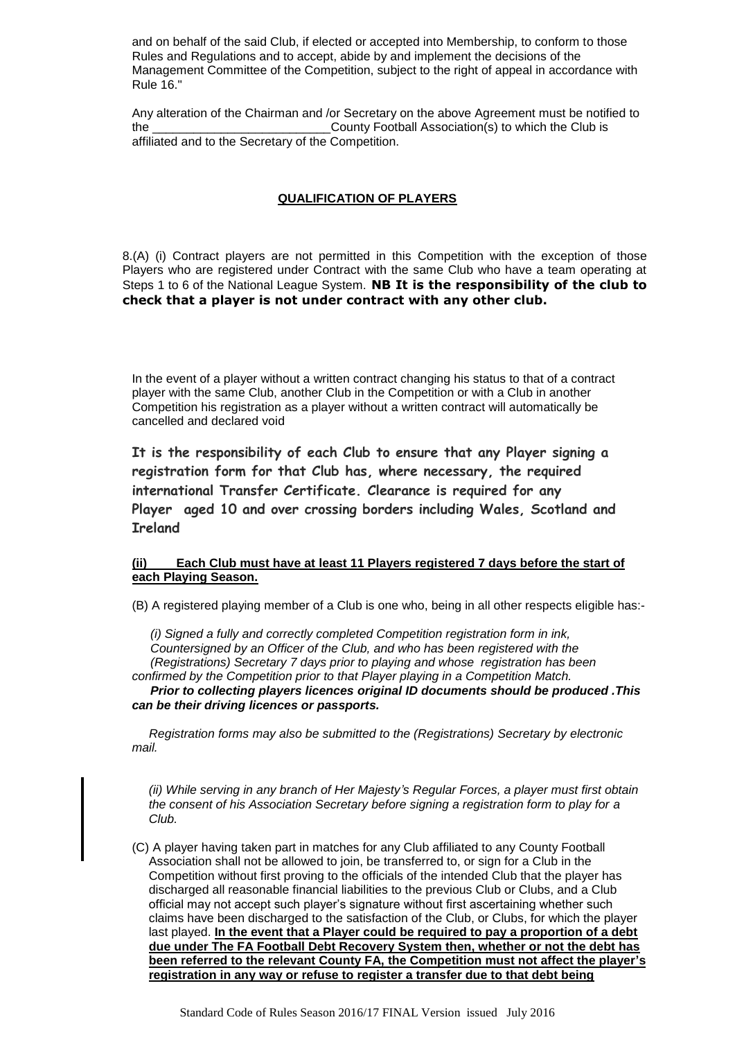and on behalf of the said Club, if elected or accepted into Membership, to conform to those Rules and Regulations and to accept, abide by and implement the decisions of the Management Committee of the Competition, subject to the right of appeal in accordance with Rule 16."

Any alteration of the Chairman and /or Secretary on the above Agreement must be notified to the \_\_\_\_\_\_\_\_\_\_\_\_\_\_\_\_\_\_\_\_\_\_\_\_\_\_County Football Association(s) to which the Club is affiliated and to the Secretary of the Competition.

# **QUALIFICATION OF PLAYERS**

8.(A) (i) Contract players are not permitted in this Competition with the exception of those Players who are registered under Contract with the same Club who have a team operating at Steps 1 to 6 of the National League System. **NB It is the responsibility of the club to check that a player is not under contract with any other club.**

In the event of a player without a written contract changing his status to that of a contract player with the same Club, another Club in the Competition or with a Club in another Competition his registration as a player without a written contract will automatically be cancelled and declared void

**It is the responsibility of each Club to ensure that any Player signing a registration form for that Club has, where necessary, the required international Transfer Certificate. Clearance is required for any Player aged 10 and over crossing borders including Wales, Scotland and Ireland**

## **(ii) Each Club must have at least 11 Players registered 7 days before the start of each Playing Season.**

(B) A registered playing member of a Club is one who, being in all other respects eligible has:-

*(i) Signed a fully and correctly completed Competition registration form in ink, Countersigned by an Officer of the Club, and who has been registered with the (Registrations) Secretary 7 days prior to playing and whose registration has been confirmed by the Competition prior to that Player playing in a Competition Match.*

*Prior to collecting players licences original ID documents should be produced .This can be their driving licences or passports.*

 *Registration forms may also be submitted to the (Registrations) Secretary by electronic mail.*

*(ii) While serving in any branch of Her Majesty's Regular Forces, a player must first obtain the consent of his Association Secretary before signing a registration form to play for a Club.*

(C) A player having taken part in matches for any Club affiliated to any County Football Association shall not be allowed to join, be transferred to, or sign for a Club in the Competition without first proving to the officials of the intended Club that the player has discharged all reasonable financial liabilities to the previous Club or Clubs, and a Club official may not accept such player"s signature without first ascertaining whether such claims have been discharged to the satisfaction of the Club, or Clubs, for which the player last played. **In the event that a Player could be required to pay a proportion of a debt due under The FA Football Debt Recovery System then, whether or not the debt has been referred to the relevant County FA, the Competition must not affect the player's registration in any way or refuse to register a transfer due to that debt being**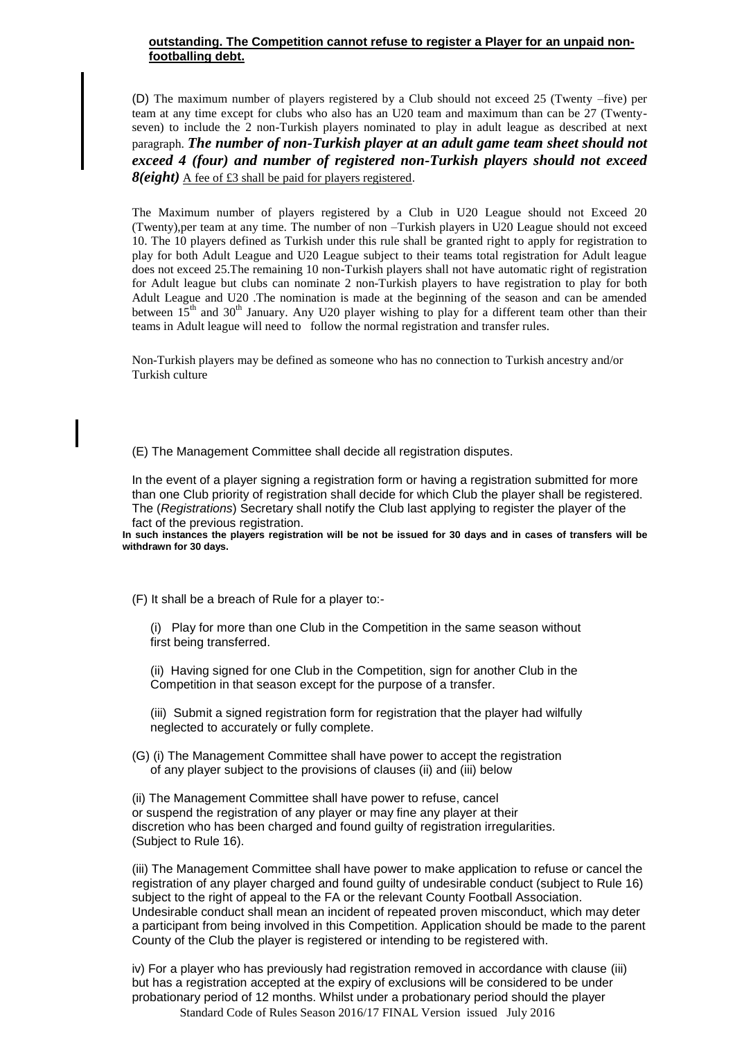## **outstanding. The Competition cannot refuse to register a Player for an unpaid nonfootballing debt.**

(D) The maximum number of players registered by a Club should not exceed 25 (Twenty –five) per team at any time except for clubs who also has an U20 team and maximum than can be 27 (Twentyseven) to include the 2 non-Turkish players nominated to play in adult league as described at next paragraph. *The number of non-Turkish player at an adult game team sheet should not exceed 4 (four) and number of registered non-Turkish players should not exceed 8(eight)* A fee of £3 shall be paid for players registered.

The Maximum number of players registered by a Club in U20 League should not Exceed 20 (Twenty),per team at any time. The number of non –Turkish players in U20 League should not exceed 10. The 10 players defined as Turkish under this rule shall be granted right to apply for registration to play for both Adult League and U20 League subject to their teams total registration for Adult league does not exceed 25.The remaining 10 non-Turkish players shall not have automatic right of registration for Adult league but clubs can nominate 2 non-Turkish players to have registration to play for both Adult League and U20 .The nomination is made at the beginning of the season and can be amended between  $15<sup>th</sup>$  and  $30<sup>th</sup>$  January. Any U20 player wishing to play for a different team other than their teams in Adult league will need to follow the normal registration and transfer rules.

Non-Turkish players may be defined as someone who has no connection to Turkish ancestry and/or Turkish culture

(E) The Management Committee shall decide all registration disputes.

In the event of a player signing a registration form or having a registration submitted for more than one Club priority of registration shall decide for which Club the player shall be registered. The (*Registrations*) Secretary shall notify the Club last applying to register the player of the fact of the previous registration.

**In such instances the players registration will be not be issued for 30 days and in cases of transfers will be withdrawn for 30 days.**

(F) It shall be a breach of Rule for a player to:-

(i) Play for more than one Club in the Competition in the same season without first being transferred.

(ii) Having signed for one Club in the Competition, sign for another Club in the Competition in that season except for the purpose of a transfer.

(iii) Submit a signed registration form for registration that the player had wilfully neglected to accurately or fully complete.

(G) (i) The Management Committee shall have power to accept the registration of any player subject to the provisions of clauses (ii) and (iii) below

(ii) The Management Committee shall have power to refuse, cancel or suspend the registration of any player or may fine any player at their discretion who has been charged and found guilty of registration irregularities. (Subject to Rule 16).

(iii) The Management Committee shall have power to make application to refuse or cancel the registration of any player charged and found guilty of undesirable conduct (subject to Rule 16) subject to the right of appeal to the FA or the relevant County Football Association. Undesirable conduct shall mean an incident of repeated proven misconduct, which may deter a participant from being involved in this Competition. Application should be made to the parent County of the Club the player is registered or intending to be registered with.

iv) For a player who has previously had registration removed in accordance with clause (iii) but has a registration accepted at the expiry of exclusions will be considered to be under probationary period of 12 months. Whilst under a probationary period should the player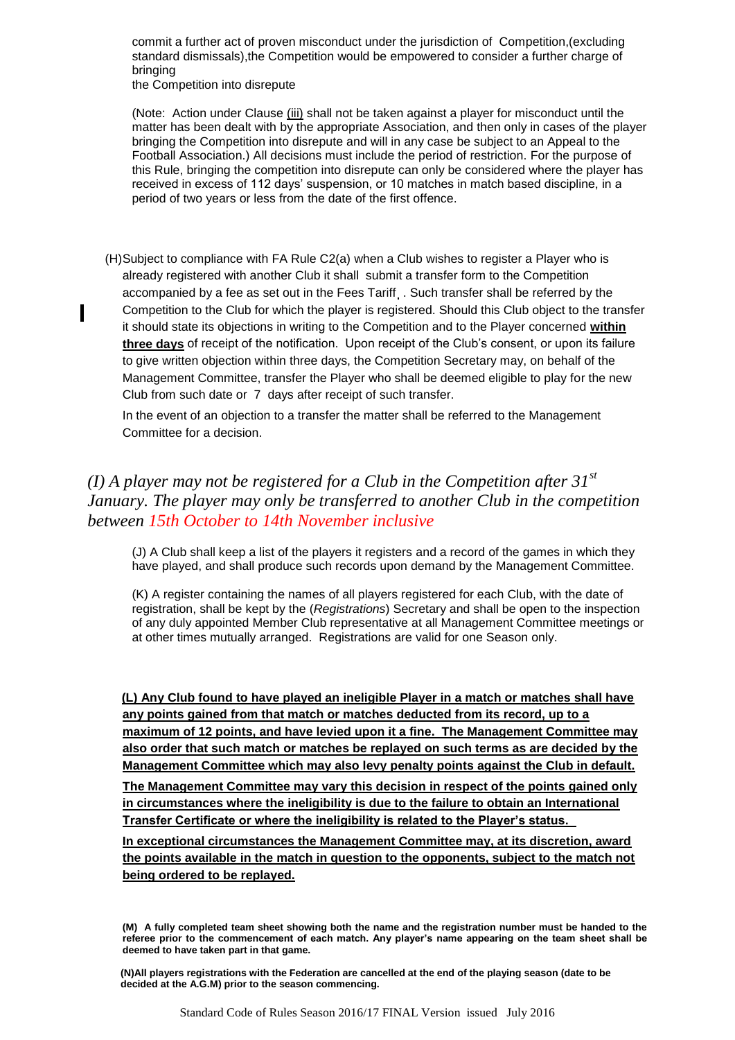commit a further act of proven misconduct under the jurisdiction of Competition,(excluding standard dismissals),the Competition would be empowered to consider a further charge of bringing

the Competition into disrepute

(Note: Action under Clause (iii) shall not be taken against a player for misconduct until the matter has been dealt with by the appropriate Association, and then only in cases of the player bringing the Competition into disrepute and will in any case be subject to an Appeal to the Football Association.) All decisions must include the period of restriction. For the purpose of this Rule, bringing the competition into disrepute can only be considered where the player has received in excess of 112 days" suspension, or 10 matches in match based discipline, in a period of two years or less from the date of the first offence.

(H)Subject to compliance with FA Rule C2(a) when a Club wishes to register a Player who is already registered with another Club it shall submit a transfer form to the Competition accompanied by a fee as set out in the Fees Tariff . Such transfer shall be referred by the Competition to the Club for which the player is registered. Should this Club object to the transfer it should state its objections in writing to the Competition and to the Player concerned **within three days** of receipt of the notification. Upon receipt of the Club"s consent, or upon its failure to give written objection within three days, the Competition Secretary may, on behalf of the Management Committee, transfer the Player who shall be deemed eligible to play for the new Club from such date or 7 days after receipt of such transfer.

In the event of an objection to a transfer the matter shall be referred to the Management Committee for a decision.

# *(I) A player may not be registered for a Club in the Competition after 31st January. The player may only be transferred to another Club in the competition between 15th October to 14th November inclusive*

(J) A Club shall keep a list of the players it registers and a record of the games in which they have played, and shall produce such records upon demand by the Management Committee.

(K) A register containing the names of all players registered for each Club, with the date of registration, shall be kept by the (*Registrations*) Secretary and shall be open to the inspection of any duly appointed Member Club representative at all Management Committee meetings or at other times mutually arranged. Registrations are valid for one Season only.

 **(L) Any Club found to have played an ineligible Player in a match or matches shall have any points gained from that match or matches deducted from its record, up to a maximum of 12 points, and have levied upon it a fine. The Management Committee may also order that such match or matches be replayed on such terms as are decided by the Management Committee which may also levy penalty points against the Club in default.** 

**The Management Committee may vary this decision in respect of the points gained only in circumstances where the ineligibility is due to the failure to obtain an International Transfer Certificate or where the ineligibility is related to the Player's status.**

**In exceptional circumstances the Management Committee may, at its discretion, award the points available in the match in question to the opponents, subject to the match not being ordered to be replayed.**

**<sup>(</sup>M) A fully completed team sheet showing both the name and the registration number must be handed to the referee prior to the commencement of each match. Any player's name appearing on the team sheet shall be deemed to have taken part in that game.**

 **<sup>(</sup>N)All players registrations with the Federation are cancelled at the end of the playing season (date to be decided at the A.G.M) prior to the season commencing.**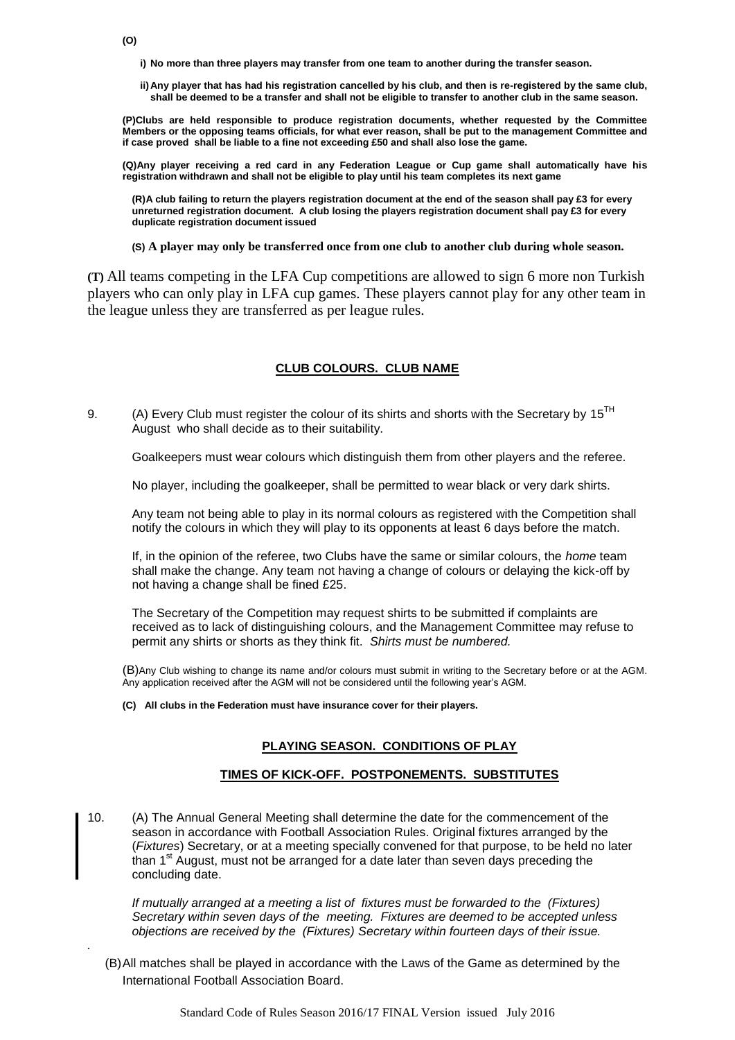*.*

- **i) No more than three players may transfer from one team to another during the transfer season.**
- **ii) Any player that has had his registration cancelled by his club, and then is re-registered by the same club, shall be deemed to be a transfer and shall not be eligible to transfer to another club in the same season.**

**(P)Clubs are held responsible to produce registration documents, whether requested by the Committee Members or the opposing teams officials, for what ever reason, shall be put to the management Committee and if case proved shall be liable to a fine not exceeding £50 and shall also lose the game.**

**(Q)Any player receiving a red card in any Federation League or Cup game shall automatically have his registration withdrawn and shall not be eligible to play until his team completes its next game**

**(R)A club failing to return the players registration document at the end of the season shall pay £3 for every unreturned registration document. A club losing the players registration document shall pay £3 for every duplicate registration document issued**

**(S) A player may only be transferred once from one club to another club during whole season.**

**(T)** All teams competing in the LFA Cup competitions are allowed to sign 6 more non Turkish players who can only play in LFA cup games. These players cannot play for any other team in the league unless they are transferred as per league rules.

## **CLUB COLOURS. CLUB NAME**

9. (A) Every Club must register the colour of its shirts and shorts with the Secretary by  $15<sup>TH</sup>$ August who shall decide as to their suitability.

Goalkeepers must wear colours which distinguish them from other players and the referee.

No player, including the goalkeeper, shall be permitted to wear black or very dark shirts.

Any team not being able to play in its normal colours as registered with the Competition shall notify the colours in which they will play to its opponents at least 6 days before the match.

If, in the opinion of the referee, two Clubs have the same or similar colours, the *home* team shall make the change. Any team not having a change of colours or delaying the kick-off by not having a change shall be fined £25.

The Secretary of the Competition may request shirts to be submitted if complaints are received as to lack of distinguishing colours, and the Management Committee may refuse to permit any shirts or shorts as they think fit. *Shirts must be numbered.*

(B)Any Club wishing to change its name and/or colours must submit in writing to the Secretary before or at the AGM. Any application received after the AGM will not be considered until the following year"s AGM.

**(C) All clubs in the Federation must have insurance cover for their players.**

#### **PLAYING SEASON. CONDITIONS OF PLAY**

#### **TIMES OF KICK-OFF. POSTPONEMENTS. SUBSTITUTES**

10. (A) The Annual General Meeting shall determine the date for the commencement of the season in accordance with Football Association Rules. Original fixtures arranged by the (*Fixtures*) Secretary, or at a meeting specially convened for that purpose, to be held no later than 1<sup>st</sup> August, must not be arranged for a date later than seven days preceding the concluding date.

*If mutually arranged at a meeting a list of fixtures must be forwarded to the (Fixtures) Secretary within seven days of the meeting. Fixtures are deemed to be accepted unless objections are received by the (Fixtures) Secretary within fourteen days of their issue.*

(B)All matches shall be played in accordance with the Laws of the Game as determined by the International Football Association Board.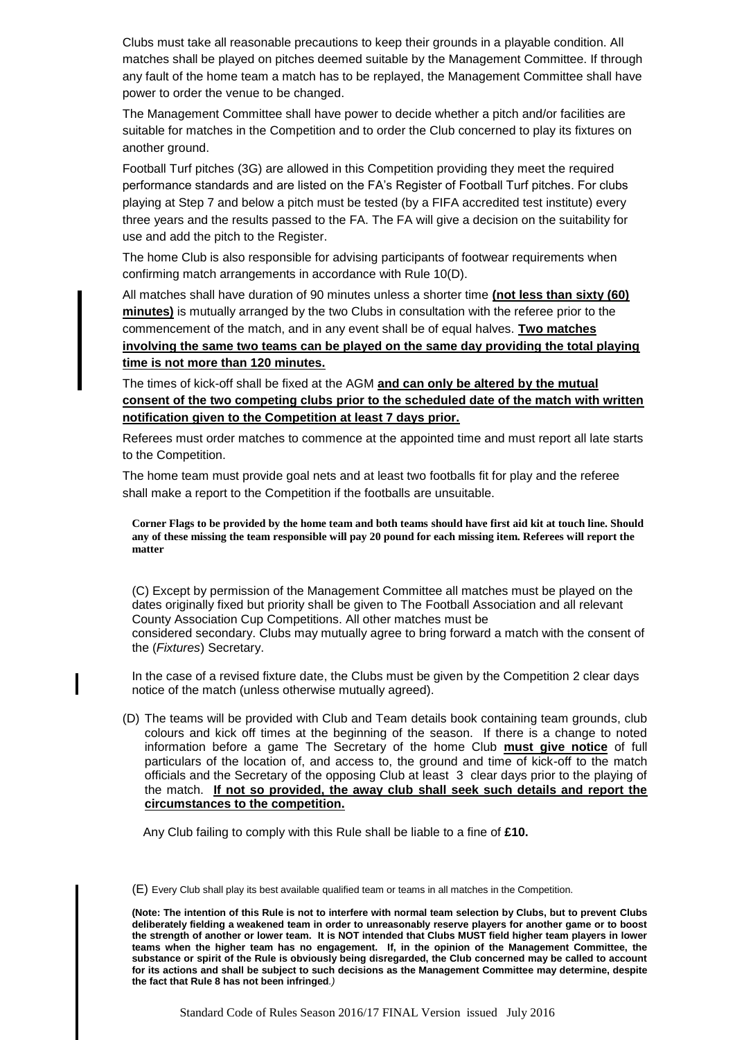Clubs must take all reasonable precautions to keep their grounds in a playable condition. All matches shall be played on pitches deemed suitable by the Management Committee. If through any fault of the home team a match has to be replayed, the Management Committee shall have power to order the venue to be changed.

The Management Committee shall have power to decide whether a pitch and/or facilities are suitable for matches in the Competition and to order the Club concerned to play its fixtures on another ground.

Football Turf pitches (3G) are allowed in this Competition providing they meet the required performance standards and are listed on the FA"s Register of Football Turf pitches. For clubs playing at Step 7 and below a pitch must be tested (by a FIFA accredited test institute) every three years and the results passed to the FA. The FA will give a decision on the suitability for use and add the pitch to the Register.

The home Club is also responsible for advising participants of footwear requirements when confirming match arrangements in accordance with Rule 10(D).

All matches shall have duration of 90 minutes unless a shorter time **(not less than sixty (60) minutes)** is mutually arranged by the two Clubs in consultation with the referee prior to the commencement of the match, and in any event shall be of equal halves. **Two matches involving the same two teams can be played on the same day providing the total playing time is not more than 120 minutes.**

The times of kick-off shall be fixed at the AGM **and can only be altered by the mutual consent of the two competing clubs prior to the scheduled date of the match with written notification given to the Competition at least 7 days prior.**

Referees must order matches to commence at the appointed time and must report all late starts to the Competition.

The home team must provide goal nets and at least two footballs fit for play and the referee shall make a report to the Competition if the footballs are unsuitable.

**Corner Flags to be provided by the home team and both teams should have first aid kit at touch line. Should any of these missing the team responsible will pay 20 pound for each missing item. Referees will report the matter**

(C) Except by permission of the Management Committee all matches must be played on the dates originally fixed but priority shall be given to The Football Association and all relevant County Association Cup Competitions. All other matches must be considered secondary. Clubs may mutually agree to bring forward a match with the consent of the (*Fixtures*) Secretary.

In the case of a revised fixture date, the Clubs must be given by the Competition 2 clear days notice of the match (unless otherwise mutually agreed).

(D) The teams will be provided with Club and Team details book containing team grounds, club colours and kick off times at the beginning of the season. If there is a change to noted information before a game The Secretary of the home Club **must give notice** of full particulars of the location of, and access to, the ground and time of kick-off to the match officials and the Secretary of the opposing Club at least 3 clear days prior to the playing of the match. **If not so provided, the away club shall seek such details and report the circumstances to the competition.** 

Any Club failing to comply with this Rule shall be liable to a fine of **£10.**

(E) Every Club shall play its best available qualified team or teams in all matches in the Competition.

**<sup>(</sup>Note: The intention of this Rule is not to interfere with normal team selection by Clubs, but to prevent Clubs deliberately fielding a weakened team in order to unreasonably reserve players for another game or to boost the strength of another or lower team. It is NOT intended that Clubs MUST field higher team players in lower teams when the higher team has no engagement. If, in the opinion of the Management Committee, the substance or spirit of the Rule is obviously being disregarded, the Club concerned may be called to account for its actions and shall be subject to such decisions as the Management Committee may determine, despite the fact that Rule 8 has not been infringed***.)*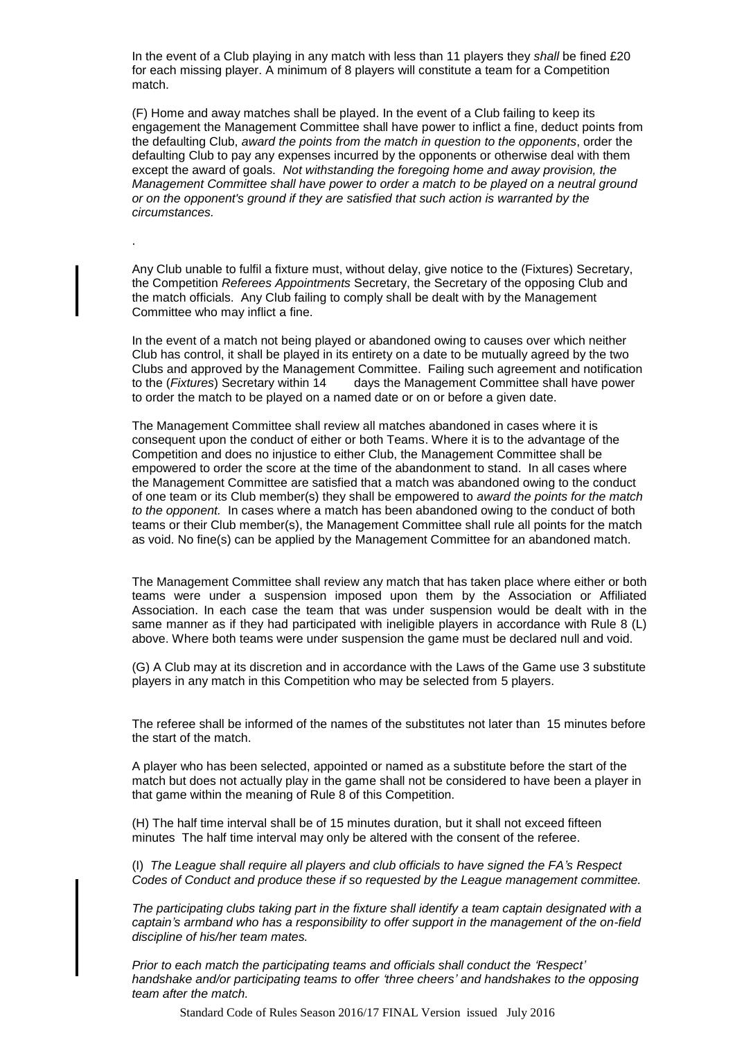In the event of a Club playing in any match with less than 11 players they *shall* be fined £20 for each missing player. A minimum of 8 players will constitute a team for a Competition match.

(F) Home and away matches shall be played. In the event of a Club failing to keep its engagement the Management Committee shall have power to inflict a fine, deduct points from the defaulting Club, *award the points from the match in question to the opponents*, order the defaulting Club to pay any expenses incurred by the opponents or otherwise deal with them except the award of goals. *Not withstanding the foregoing home and away provision, the Management Committee shall have power to order a match to be played on a neutral ground or on the opponent's ground if they are satisfied that such action is warranted by the circumstances.*

Any Club unable to fulfil a fixture must, without delay, give notice to the (Fixtures) Secretary, the Competition *Referees Appointments* Secretary, the Secretary of the opposing Club and the match officials. Any Club failing to comply shall be dealt with by the Management Committee who may inflict a fine.

.

In the event of a match not being played or abandoned owing to causes over which neither Club has control, it shall be played in its entirety on a date to be mutually agreed by the two Clubs and approved by the Management Committee. Failing such agreement and notification<br>to the (*Fixtures*) Secretary within 14 days the Management Committee shall have power days the Management Committee shall have power to order the match to be played on a named date or on or before a given date.

The Management Committee shall review all matches abandoned in cases where it is consequent upon the conduct of either or both Teams. Where it is to the advantage of the Competition and does no injustice to either Club, the Management Committee shall be empowered to order the score at the time of the abandonment to stand. In all cases where the Management Committee are satisfied that a match was abandoned owing to the conduct of one team or its Club member(s) they shall be empowered to *award the points for the match to the opponent.* In cases where a match has been abandoned owing to the conduct of both teams or their Club member(s), the Management Committee shall rule all points for the match as void. No fine(s) can be applied by the Management Committee for an abandoned match.

The Management Committee shall review any match that has taken place where either or both teams were under a suspension imposed upon them by the Association or Affiliated Association. In each case the team that was under suspension would be dealt with in the same manner as if they had participated with ineligible players in accordance with Rule 8 (L) above. Where both teams were under suspension the game must be declared null and void.

(G) A Club may at its discretion and in accordance with the Laws of the Game use 3 substitute players in any match in this Competition who may be selected from 5 players.

The referee shall be informed of the names of the substitutes not later than 15 minutes before the start of the match.

A player who has been selected, appointed or named as a substitute before the start of the match but does not actually play in the game shall not be considered to have been a player in that game within the meaning of Rule 8 of this Competition.

(H) The half time interval shall be of 15 minutes duration, but it shall not exceed fifteen minutes The half time interval may only be altered with the consent of the referee.

(I) *The League shall require all players and club officials to have signed the FA's Respect Codes of Conduct and produce these if so requested by the League management committee.*

*The participating clubs taking part in the fixture shall identify a team captain designated with a captain's armband who has a responsibility to offer support in the management of the on-field discipline of his/her team mates.*

*Prior to each match the participating teams and officials shall conduct the 'Respect' handshake and/or participating teams to offer 'three cheers' and handshakes to the opposing team after the match.*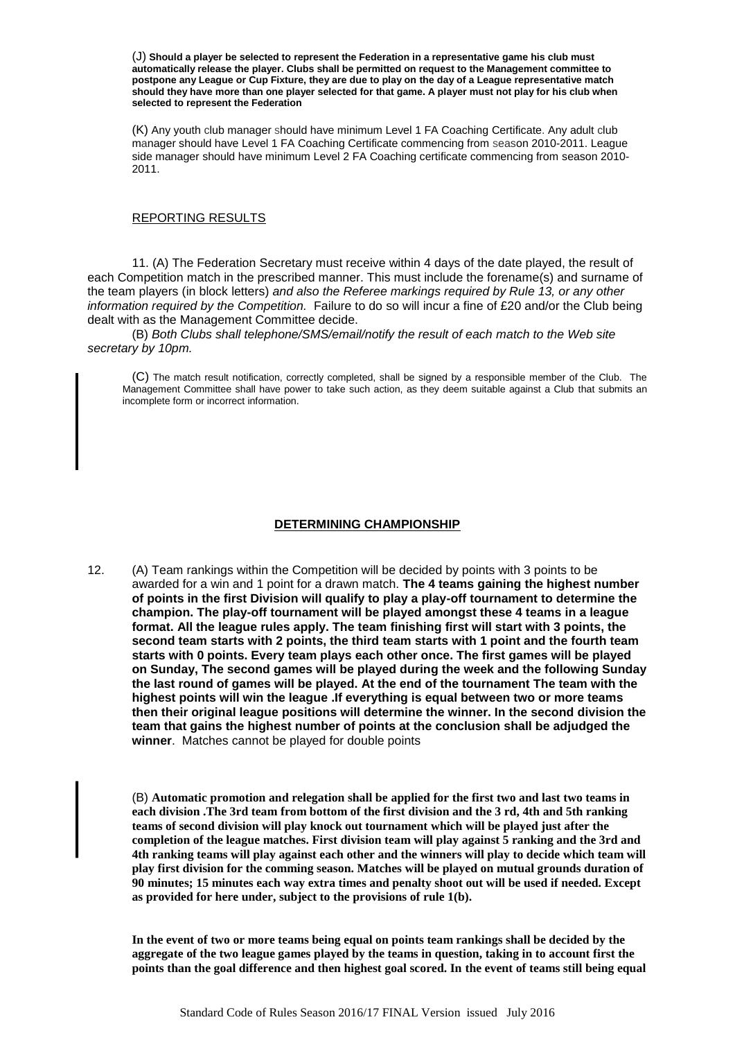(J) **Should a player be selected to represent the Federation in a representative game his club must automatically release the player. Clubs shall be permitted on request to the Management committee to postpone any League or Cup Fixture, they are due to play on the day of a League representative match should they have more than one player selected for that game. A player must not play for his club when selected to represent the Federation**

(K) Any youth club manager should have minimum Level 1 FA Coaching Certificate. Any adult club manager should have Level 1 FA Coaching Certificate commencing from season 2010-2011. League side manager should have minimum Level 2 FA Coaching certificate commencing from season 2010-2011.

#### REPORTING RESULTS

11. (A) The Federation Secretary must receive within 4 days of the date played, the result of each Competition match in the prescribed manner. This must include the forename(s) and surname of the team players (in block letters) *and also the Referee markings required by Rule 13, or any other information required by the Competition.* Failure to do so will incur a fine of £20 and/or the Club being dealt with as the Management Committee decide.

(B) *Both Clubs shall telephone/SMS/email/notify the result of each match to the Web site secretary by 10pm.*

(C) The match result notification, correctly completed, shall be signed by a responsible member of the Club. The Management Committee shall have power to take such action, as they deem suitable against a Club that submits an incomplete form or incorrect information.

### **DETERMINING CHAMPIONSHIP**

12. (A) Team rankings within the Competition will be decided by points with 3 points to be awarded for a win and 1 point for a drawn match. **The 4 teams gaining the highest number of points in the first Division will qualify to play a play-off tournament to determine the champion. The play-off tournament will be played amongst these 4 teams in a league format. All the league rules apply. The team finishing first will start with 3 points, the second team starts with 2 points, the third team starts with 1 point and the fourth team starts with 0 points. Every team plays each other once. The first games will be played on Sunday, The second games will be played during the week and the following Sunday the last round of games will be played. At the end of the tournament The team with the highest points will win the league .If everything is equal between two or more teams then their original league positions will determine the winner. In the second division the team that gains the highest number of points at the conclusion shall be adjudged the winner**. Matches cannot be played for double points

(B) **Automatic promotion and relegation shall be applied for the first two and last two teams in each division .The 3rd team from bottom of the first division and the 3 rd, 4th and 5th ranking teams of second division will play knock out tournament which will be played just after the completion of the league matches. First division team will play against 5 ranking and the 3rd and 4th ranking teams will play against each other and the winners will play to decide which team will play first division for the comming season. Matches will be played on mutual grounds duration of 90 minutes; 15 minutes each way extra times and penalty shoot out will be used if needed. Except as provided for here under, subject to the provisions of rule 1(b).**

**In the event of two or more teams being equal on points team rankings shall be decided by the aggregate of the two league games played by the teams in question, taking in to account first the points than the goal difference and then highest goal scored. In the event of teams still being equal**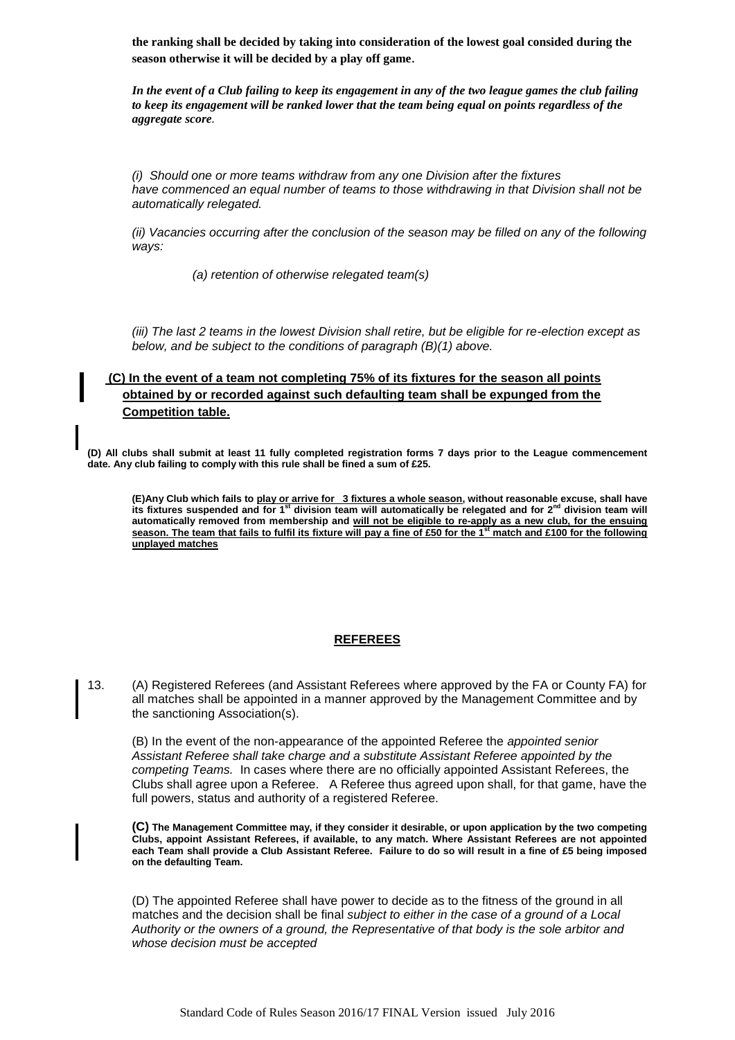**the ranking shall be decided by taking into consideration of the lowest goal consided during the season otherwise it will be decided by a play off game**.

*In the event of a Club failing to keep its engagement in any of the two league games the club failing to keep its engagement will be ranked lower that the team being equal on points regardless of the aggregate score.*

*(i) Should one or more teams withdraw from any one Division after the fixtures have commenced an equal number of teams to those withdrawing in that Division shall not be automatically relegated.*

*(ii) Vacancies occurring after the conclusion of the season may be filled on any of the following ways:*

*(a) retention of otherwise relegated team(s)*

*(iii) The last 2 teams in the lowest Division shall retire, but be eligible for re-election except as below, and be subject to the conditions of paragraph (B)(1) above.*

# **(C) In the event of a team not completing 75% of its fixtures for the season all points obtained by or recorded against such defaulting team shall be expunged from the Competition table.**

**(D) All clubs shall submit at least 11 fully completed registration forms 7 days prior to the League commencement date. Any club failing to comply with this rule shall be fined a sum of £25.**

(E)Any Club which fails to <u>play or arrive for \_3 fixtures a whole season</u>, without reasonable excuse, shall have<br>its fixtures suspended and for 1<sup>st</sup> division team will automatically be relegated and for 2<sup>nd</sup> division te **automatically removed from membership and will not be eligible to re-apply as a new club, for the ensuing season. The team that fails to fulfil its fixture will pay a fine of £50 for the 1st match and £100 for the following unplayed matches**

# **REFEREES**

13. (A) Registered Referees (and Assistant Referees where approved by the FA or County FA) for all matches shall be appointed in a manner approved by the Management Committee and by the sanctioning Association(s).

(B) In the event of the non-appearance of the appointed Referee the *appointed senior Assistant Referee shall take charge and a substitute Assistant Referee appointed by the competing Teams.* In cases where there are no officially appointed Assistant Referees, the Clubs shall agree upon a Referee. A Referee thus agreed upon shall, for that game, have the full powers, status and authority of a registered Referee.

**(C) The Management Committee may, if they consider it desirable, or upon application by the two competing Clubs, appoint Assistant Referees, if available, to any match. Where Assistant Referees are not appointed each Team shall provide a Club Assistant Referee. Failure to do so will result in a fine of £5 being imposed on the defaulting Team.**

(D) The appointed Referee shall have power to decide as to the fitness of the ground in all matches and the decision shall be final *subject to either in the case of a ground of a Local Authority or the owners of a ground, the Representative of that body is the sole arbitor and whose decision must be accepted*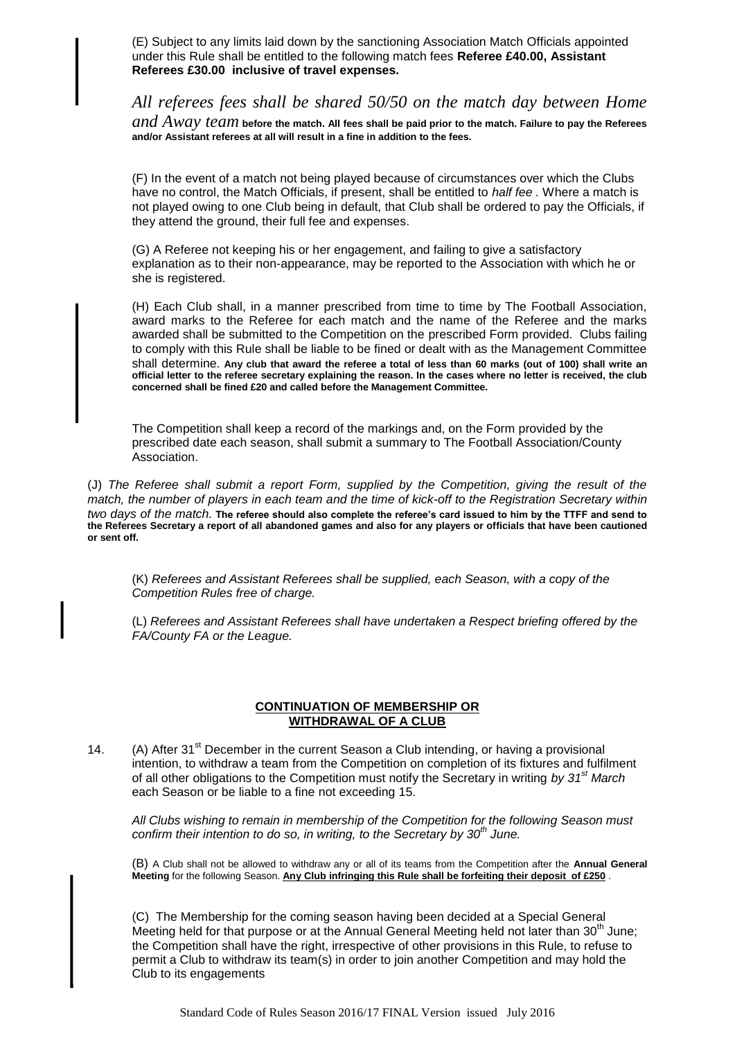(E) Subject to any limits laid down by the sanctioning Association Match Officials appointed under this Rule shall be entitled to the following match fees **Referee £40.00, Assistant Referees £30.00 inclusive of travel expenses.**

*All referees fees shall be shared 50/50 on the match day between Home* 

*and Away team* **before the match. All fees shall be paid prior to the match. Failure to pay the Referees and/or Assistant referees at all will result in a fine in addition to the fees.** 

(F) In the event of a match not being played because of circumstances over which the Clubs have no control, the Match Officials, if present, shall be entitled to *half fee .* Where a match is not played owing to one Club being in default, that Club shall be ordered to pay the Officials, if they attend the ground, their full fee and expenses.

(G) A Referee not keeping his or her engagement, and failing to give a satisfactory explanation as to their non-appearance, may be reported to the Association with which he or she is registered.

(H) Each Club shall, in a manner prescribed from time to time by The Football Association, award marks to the Referee for each match and the name of the Referee and the marks awarded shall be submitted to the Competition on the prescribed Form provided. Clubs failing to comply with this Rule shall be liable to be fined or dealt with as the Management Committee shall determine. **Any club that award the referee a total of less than 60 marks (out of 100) shall write an official letter to the referee secretary explaining the reason. In the cases where no letter is received, the club concerned shall be fined £20 and called before the Management Committee.**

The Competition shall keep a record of the markings and, on the Form provided by the prescribed date each season, shall submit a summary to The Football Association/County Association.

(J) *The Referee shall submit a report Form, supplied by the Competition, giving the result of the match, the number of players in each team and the time of kick-off to the Registration Secretary within two days of the match.* **The referee should also complete the referee's card issued to him by the TTFF and send to the Referees Secretary a report of all abandoned games and also for any players or officials that have been cautioned or sent off.**

(K) *Referees and Assistant Referees shall be supplied, each Season, with a copy of the Competition Rules free of charge.*

(L) *Referees and Assistant Referees shall have undertaken a Respect briefing offered by the FA/County FA or the League.*

## **CONTINUATION OF MEMBERSHIP OR WITHDRAWAL OF A CLUB**

14. (A) After  $31<sup>st</sup>$  December in the current Season a Club intending, or having a provisional intention, to withdraw a team from the Competition on completion of its fixtures and fulfilment of all other obligations to the Competition must notify the Secretary in writing *by 31st March* each Season or be liable to a fine not exceeding 15.

*All Clubs wishing to remain in membership of the Competition for the following Season must confirm their intention to do so, in writing, to the Secretary by 30th June.*

(B) A Club shall not be allowed to withdraw any or all of its teams from the Competition after the **Annual General Meeting** for the following Season. **Any Club infringing this Rule shall be forfeiting their deposit of £250** .

(C) The Membership for the coming season having been decided at a Special General Meeting held for that purpose or at the Annual General Meeting held not later than  $30<sup>th</sup>$  June; the Competition shall have the right, irrespective of other provisions in this Rule, to refuse to permit a Club to withdraw its team(s) in order to join another Competition and may hold the Club to its engagements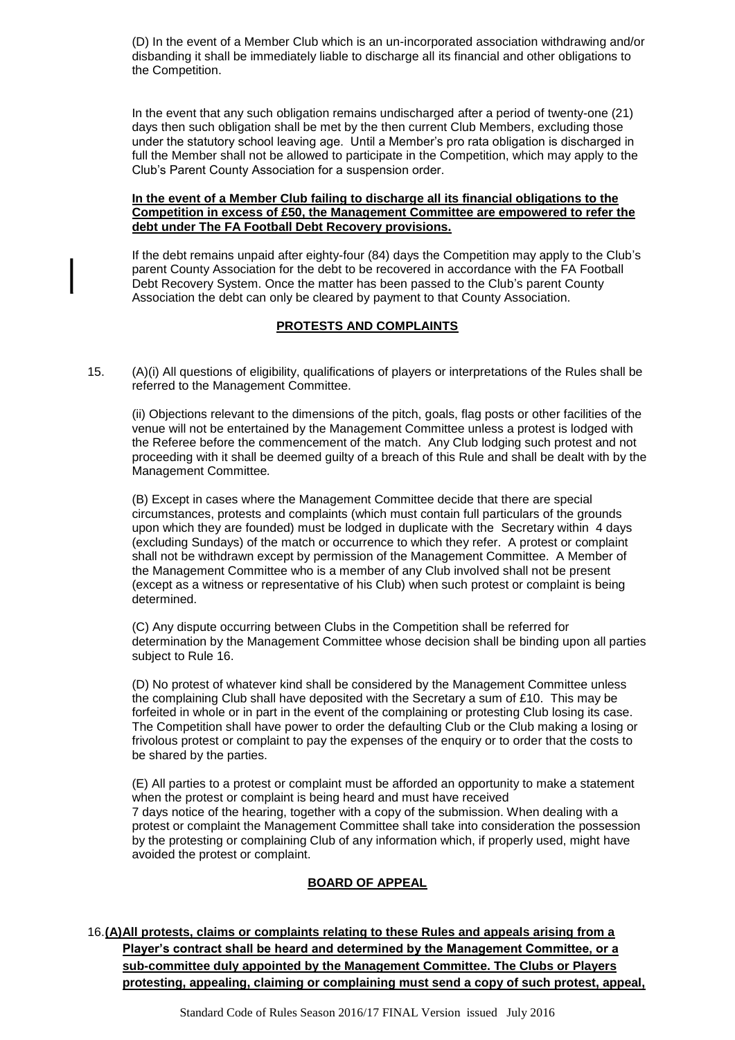(D) In the event of a Member Club which is an un-incorporated association withdrawing and/or disbanding it shall be immediately liable to discharge all its financial and other obligations to the Competition.

In the event that any such obligation remains undischarged after a period of twenty-one (21) days then such obligation shall be met by the then current Club Members, excluding those under the statutory school leaving age. Until a Member"s pro rata obligation is discharged in full the Member shall not be allowed to participate in the Competition, which may apply to the Club"s Parent County Association for a suspension order.

## **In the event of a Member Club failing to discharge all its financial obligations to the Competition in excess of £50, the Management Committee are empowered to refer the debt under The FA Football Debt Recovery provisions.**

If the debt remains unpaid after eighty-four (84) days the Competition may apply to the Club"s parent County Association for the debt to be recovered in accordance with the FA Football Debt Recovery System. Once the matter has been passed to the Club"s parent County Association the debt can only be cleared by payment to that County Association.

## **PROTESTS AND COMPLAINTS**

15. (A)(i) All questions of eligibility, qualifications of players or interpretations of the Rules shall be referred to the Management Committee.

(ii) Objections relevant to the dimensions of the pitch, goals, flag posts or other facilities of the venue will not be entertained by the Management Committee unless a protest is lodged with the Referee before the commencement of the match. Any Club lodging such protest and not proceeding with it shall be deemed guilty of a breach of this Rule and shall be dealt with by the Management Committee*.*

(B) Except in cases where the Management Committee decide that there are special circumstances, protests and complaints (which must contain full particulars of the grounds upon which they are founded) must be lodged in duplicate with the Secretary within 4 days (excluding Sundays) of the match or occurrence to which they refer. A protest or complaint shall not be withdrawn except by permission of the Management Committee. A Member of the Management Committee who is a member of any Club involved shall not be present (except as a witness or representative of his Club) when such protest or complaint is being determined.

(C) Any dispute occurring between Clubs in the Competition shall be referred for determination by the Management Committee whose decision shall be binding upon all parties subject to Rule 16.

(D) No protest of whatever kind shall be considered by the Management Committee unless the complaining Club shall have deposited with the Secretary a sum of £10. This may be forfeited in whole or in part in the event of the complaining or protesting Club losing its case. The Competition shall have power to order the defaulting Club or the Club making a losing or frivolous protest or complaint to pay the expenses of the enquiry or to order that the costs to be shared by the parties.

(E) All parties to a protest or complaint must be afforded an opportunity to make a statement when the protest or complaint is being heard and must have received 7 days notice of the hearing, together with a copy of the submission. When dealing with a protest or complaint the Management Committee shall take into consideration the possession by the protesting or complaining Club of any information which, if properly used, might have avoided the protest or complaint.

# **BOARD OF APPEAL**

16.**(A)All protests, claims or complaints relating to these Rules and appeals arising from a Player's contract shall be heard and determined by the Management Committee, or a sub-committee duly appointed by the Management Committee. The Clubs or Players protesting, appealing, claiming or complaining must send a copy of such protest, appeal,**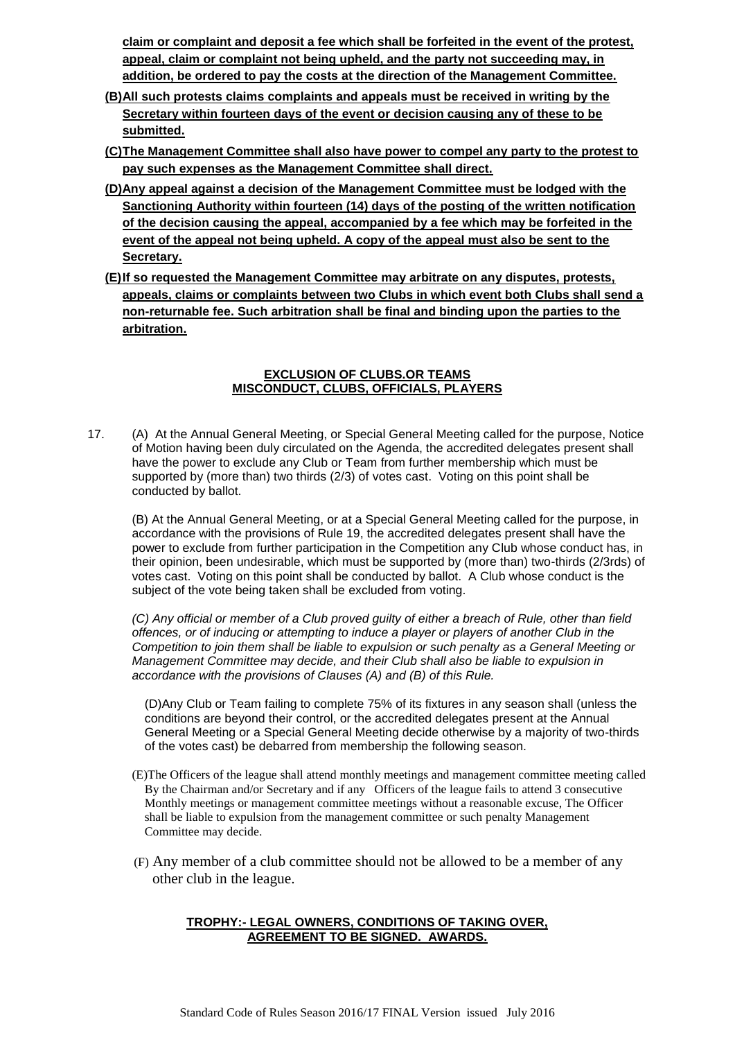**claim or complaint and deposit a fee which shall be forfeited in the event of the protest, appeal, claim or complaint not being upheld, and the party not succeeding may, in addition, be ordered to pay the costs at the direction of the Management Committee.**

- **(B)All such protests claims complaints and appeals must be received in writing by the Secretary within fourteen days of the event or decision causing any of these to be submitted.**
- **(C)The Management Committee shall also have power to compel any party to the protest to pay such expenses as the Management Committee shall direct.**
- **(D)Any appeal against a decision of the Management Committee must be lodged with the Sanctioning Authority within fourteen (14) days of the posting of the written notification of the decision causing the appeal, accompanied by a fee which may be forfeited in the event of the appeal not being upheld. A copy of the appeal must also be sent to the Secretary.**
- **(E)If so requested the Management Committee may arbitrate on any disputes, protests, appeals, claims or complaints between two Clubs in which event both Clubs shall send a non-returnable fee. Such arbitration shall be final and binding upon the parties to the arbitration.**

## **EXCLUSION OF CLUBS.OR TEAMS MISCONDUCT, CLUBS, OFFICIALS, PLAYERS**

17. (A) At the Annual General Meeting, or Special General Meeting called for the purpose, Notice of Motion having been duly circulated on the Agenda, the accredited delegates present shall have the power to exclude any Club or Team from further membership which must be supported by (more than) two thirds (2/3) of votes cast. Voting on this point shall be conducted by ballot.

(B) At the Annual General Meeting, or at a Special General Meeting called for the purpose, in accordance with the provisions of Rule 19, the accredited delegates present shall have the power to exclude from further participation in the Competition any Club whose conduct has, in their opinion, been undesirable, which must be supported by (more than) two-thirds (2/3rds) of votes cast. Voting on this point shall be conducted by ballot. A Club whose conduct is the subject of the vote being taken shall be excluded from voting.

*(C) Any official or member of a Club proved guilty of either a breach of Rule, other than field offences, or of inducing or attempting to induce a player or players of another Club in the Competition to join them shall be liable to expulsion or such penalty as a General Meeting or Management Committee may decide, and their Club shall also be liable to expulsion in accordance with the provisions of Clauses (A) and (B) of this Rule.*

(D)Any Club or Team failing to complete 75% of its fixtures in any season shall (unless the conditions are beyond their control, or the accredited delegates present at the Annual General Meeting or a Special General Meeting decide otherwise by a majority of two-thirds of the votes cast) be debarred from membership the following season.

- (E)The Officers of the league shall attend monthly meetings and management committee meeting called By the Chairman and/or Secretary and if any Officers of the league fails to attend 3 consecutive Monthly meetings or management committee meetings without a reasonable excuse, The Officer shall be liable to expulsion from the management committee or such penalty Management Committee may decide.
- (F) Any member of a club committee should not be allowed to be a member of any other club in the league.

# **TROPHY:- LEGAL OWNERS, CONDITIONS OF TAKING OVER, AGREEMENT TO BE SIGNED. AWARDS.**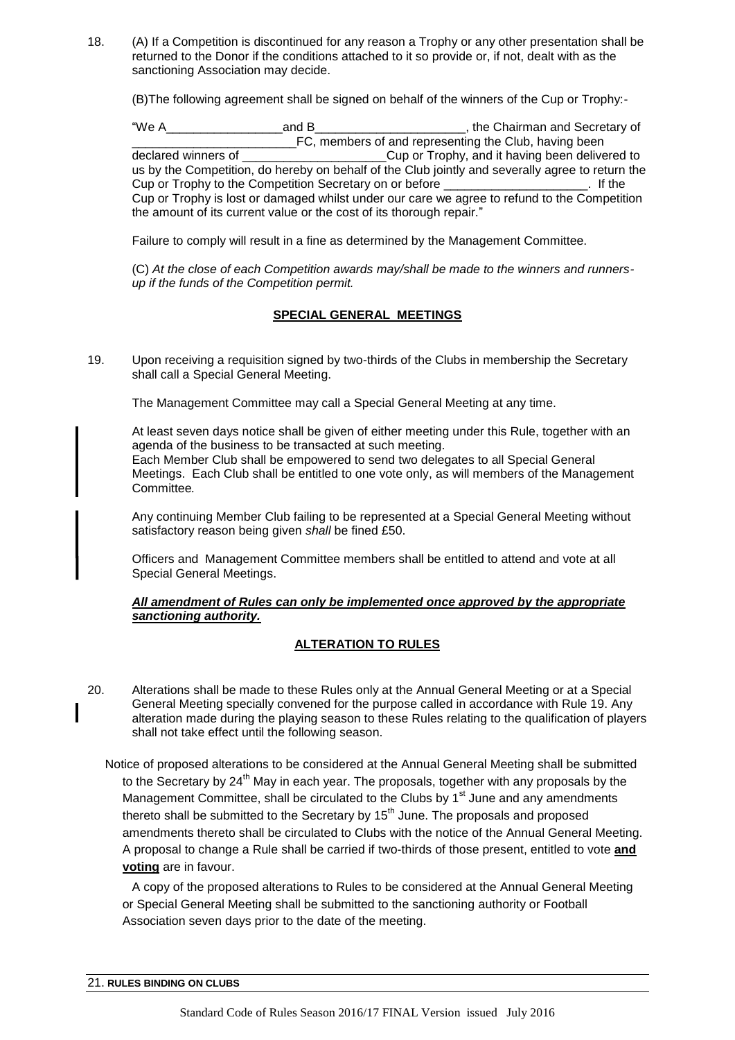18. (A) If a Competition is discontinued for any reason a Trophy or any other presentation shall be returned to the Donor if the conditions attached to it so provide or, if not, dealt with as the sanctioning Association may decide.

(B)The following agreement shall be signed on behalf of the winners of the Cup or Trophy:-

"We A\_\_\_\_\_\_\_\_\_\_\_\_\_\_\_\_\_and B\_\_\_\_\_\_\_\_\_\_\_\_\_\_\_\_\_\_\_\_\_\_, the Chairman and Secretary of The discreption of and representing the Club, having been declared winners of the Club, having been delive Cup or Trophy, and it having been delivered to us by the Competition, do hereby on behalf of the Club jointly and severally agree to return the Cup or Trophy to the Competition Secretary on or before \_\_\_\_\_\_\_\_\_\_\_\_\_\_\_\_\_\_\_\_\_. If the Cup or Trophy is lost or damaged whilst under our care we agree to refund to the Competition the amount of its current value or the cost of its thorough repair."

Failure to comply will result in a fine as determined by the Management Committee.

(C) *At the close of each Competition awards may/shall be made to the winners and runnersup if the funds of the Competition permit.*

# **SPECIAL GENERAL MEETINGS**

19. Upon receiving a requisition signed by two-thirds of the Clubs in membership the Secretary shall call a Special General Meeting.

The Management Committee may call a Special General Meeting at any time.

At least seven days notice shall be given of either meeting under this Rule, together with an agenda of the business to be transacted at such meeting. Each Member Club shall be empowered to send two delegates to all Special General Meetings. Each Club shall be entitled to one vote only, as will members of the Management Committee*.*

Any continuing Member Club failing to be represented at a Special General Meeting without satisfactory reason being given *shall* be fined £50.

Officers and Management Committee members shall be entitled to attend and vote at all Special General Meetings.

# *All amendment of Rules can only be implemented once approved by the appropriate sanctioning authority.*

# **ALTERATION TO RULES**

20. Alterations shall be made to these Rules only at the Annual General Meeting or at a Special General Meeting specially convened for the purpose called in accordance with Rule 19. Any alteration made during the playing season to these Rules relating to the qualification of players shall not take effect until the following season.

Notice of proposed alterations to be considered at the Annual General Meeting shall be submitted to the Secretary by 24<sup>th</sup> May in each year. The proposals, together with any proposals by the Management Committee, shall be circulated to the Clubs by  $1<sup>st</sup>$  June and any amendments thereto shall be submitted to the Secretary by  $15<sup>th</sup>$  June. The proposals and proposed amendments thereto shall be circulated to Clubs with the notice of the Annual General Meeting. A proposal to change a Rule shall be carried if two-thirds of those present, entitled to vote **and voting** are in favour.

 A copy of the proposed alterations to Rules to be considered at the Annual General Meeting or Special General Meeting shall be submitted to the sanctioning authority or Football Association seven days prior to the date of the meeting.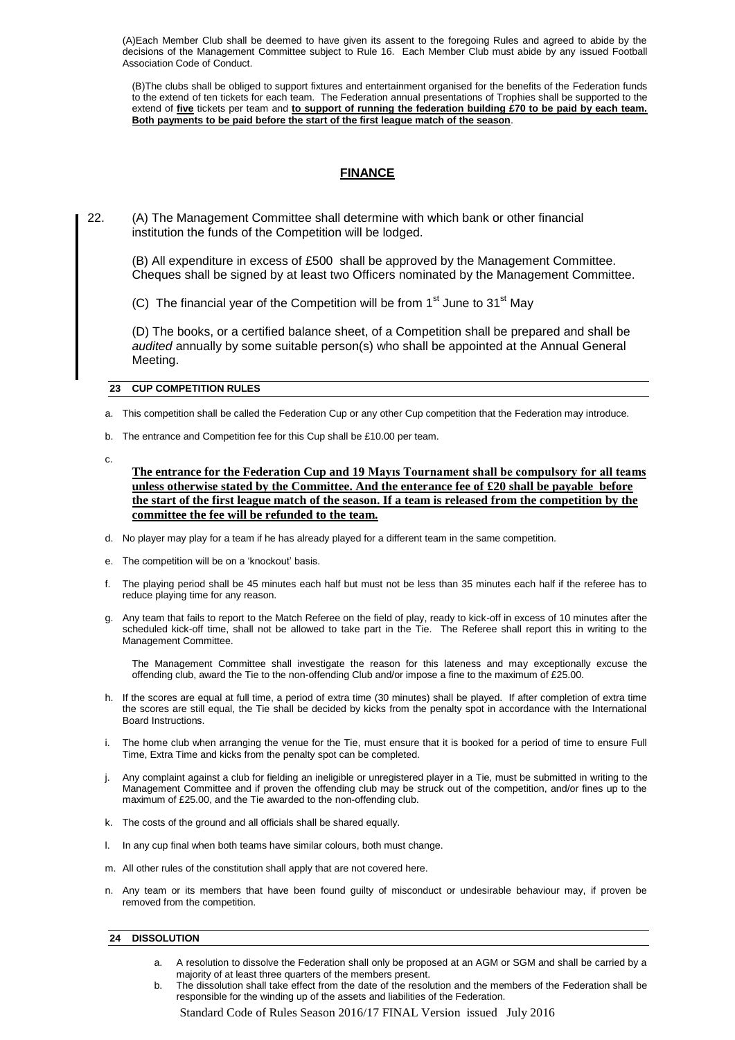(A)Each Member Club shall be deemed to have given its assent to the foregoing Rules and agreed to abide by the decisions of the Management Committee subject to Rule 16. Each Member Club must abide by any issued Football Association Code of Conduct.

(B)The clubs shall be obliged to support fixtures and entertainment organised for the benefits of the Federation funds to the extend of ten tickets for each team. The Federation annual presentations of Trophies shall be supported to the extend of **five** tickets per team and **to support of running the federation building £70 to be paid by each team. Both payments to be paid before the start of the first league match of the season**.

# **FINANCE**

22. (A) The Management Committee shall determine with which bank or other financial institution the funds of the Competition will be lodged.

(B) All expenditure in excess of £500 shall be approved by the Management Committee. Cheques shall be signed by at least two Officers nominated by the Management Committee.

(C) The financial year of the Competition will be from  $1<sup>st</sup>$  June to  $31<sup>st</sup>$  May

(D) The books, or a certified balance sheet, of a Competition shall be prepared and shall be *audited* annually by some suitable person(s) who shall be appointed at the Annual General Meeting.

#### **23 CUP COMPETITION RULES**

a. This competition shall be called the Federation Cup or any other Cup competition that the Federation may introduce.

- b. The entrance and Competition fee for this Cup shall be £10.00 per team.
- c.
- **The entrance for the Federation Cup and 19 Mayıs Tournament shall be compulsory for all teams unless otherwise stated by the Committee. And the enterance fee of £20 shall be payable before the start of the first league match of the season. If a team is released from the competition by the committee the fee will be refunded to the team.**
- d. No player may play for a team if he has already played for a different team in the same competition.
- e. The competition will be on a "knockout" basis.
- f. The playing period shall be 45 minutes each half but must not be less than 35 minutes each half if the referee has to reduce playing time for any reason.
- g. Any team that fails to report to the Match Referee on the field of play, ready to kick-off in excess of 10 minutes after the scheduled kick-off time, shall not be allowed to take part in the Tie. The Referee shall report this in writing to the Management Committee.

The Management Committee shall investigate the reason for this lateness and may exceptionally excuse the offending club, award the Tie to the non-offending Club and/or impose a fine to the maximum of £25.00.

- h. If the scores are equal at full time, a period of extra time (30 minutes) shall be played. If after completion of extra time the scores are still equal, the Tie shall be decided by kicks from the penalty spot in accordance with the International Board Instructions.
- i. The home club when arranging the venue for the Tie, must ensure that it is booked for a period of time to ensure Full Time, Extra Time and kicks from the penalty spot can be completed.
- j. Any complaint against a club for fielding an ineligible or unregistered player in a Tie, must be submitted in writing to the Management Committee and if proven the offending club may be struck out of the competition, and/or fines up to the maximum of £25.00, and the Tie awarded to the non-offending club.
- k. The costs of the ground and all officials shall be shared equally.
- l. In any cup final when both teams have similar colours, both must change.
- m. All other rules of the constitution shall apply that are not covered here.
- n. Any team or its members that have been found guilty of misconduct or undesirable behaviour may, if proven be removed from the competition.

#### **24 DISSOLUTION**

- a. A resolution to dissolve the Federation shall only be proposed at an AGM or SGM and shall be carried by a majority of at least three quarters of the members present.
- b. The dissolution shall take effect from the date of the resolution and the members of the Federation shall be responsible for the winding up of the assets and liabilities of the Federation.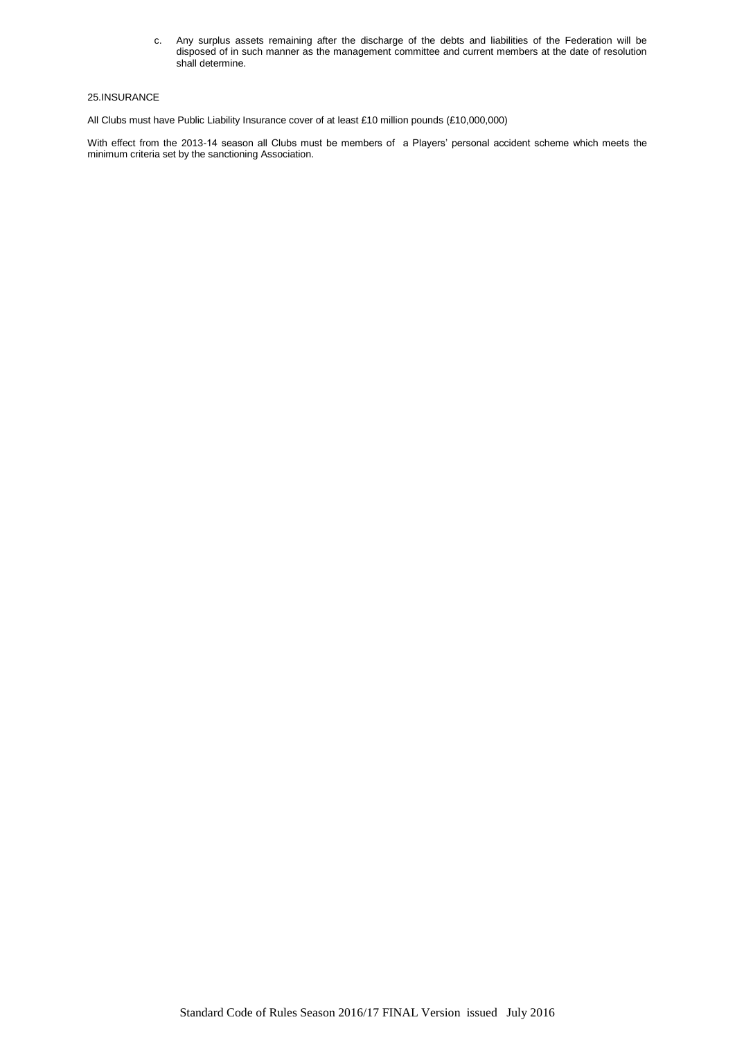c. Any surplus assets remaining after the discharge of the debts and liabilities of the Federation will be disposed of in such manner as the management committee and current members at the date of resolution shall determine.

#### 25.INSURANCE

All Clubs must have Public Liability Insurance cover of at least £10 million pounds (£10,000,000)

With effect from the 2013-14 season all Clubs must be members of a Players" personal accident scheme which meets the minimum criteria set by the sanctioning Association.